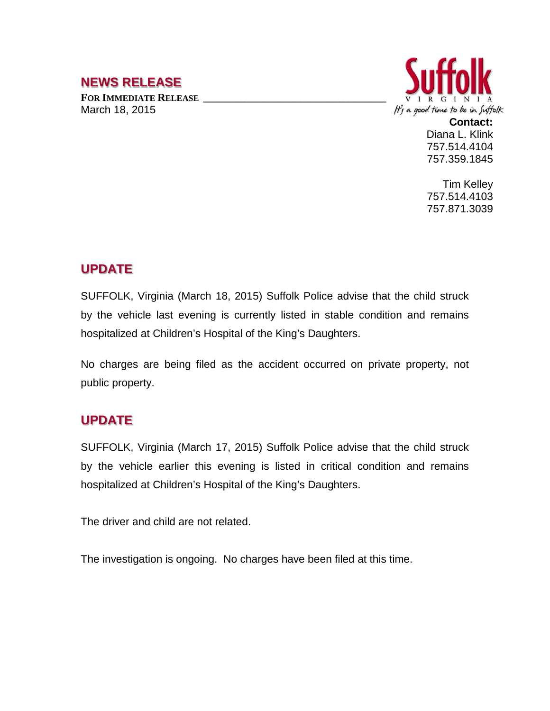## **NEWS RELEASE**

FOR **IMMEDIATE RELEASE** March 18, 2015



**Contact:** Diana L. Klink 757.514.4104 757.359.1845

Tim Kelley 757.514.4103 757.871.3039

## **UPDATE**

SUFFOLK, Virginia (March 18, 2015) Suffolk Police advise that the child struck by the vehicle last evening is currently listed in stable condition and remains hospitalized at Children's Hospital of the King's Daughters.

No charges are being filed as the accident occurred on private property, not public property.

## **UPDATE**

SUFFOLK, Virginia (March 17, 2015) Suffolk Police advise that the child struck by the vehicle earlier this evening is listed in critical condition and remains hospitalized at Children's Hospital of the King's Daughters.

The driver and child are not related.

The investigation is ongoing. No charges have been filed at this time.